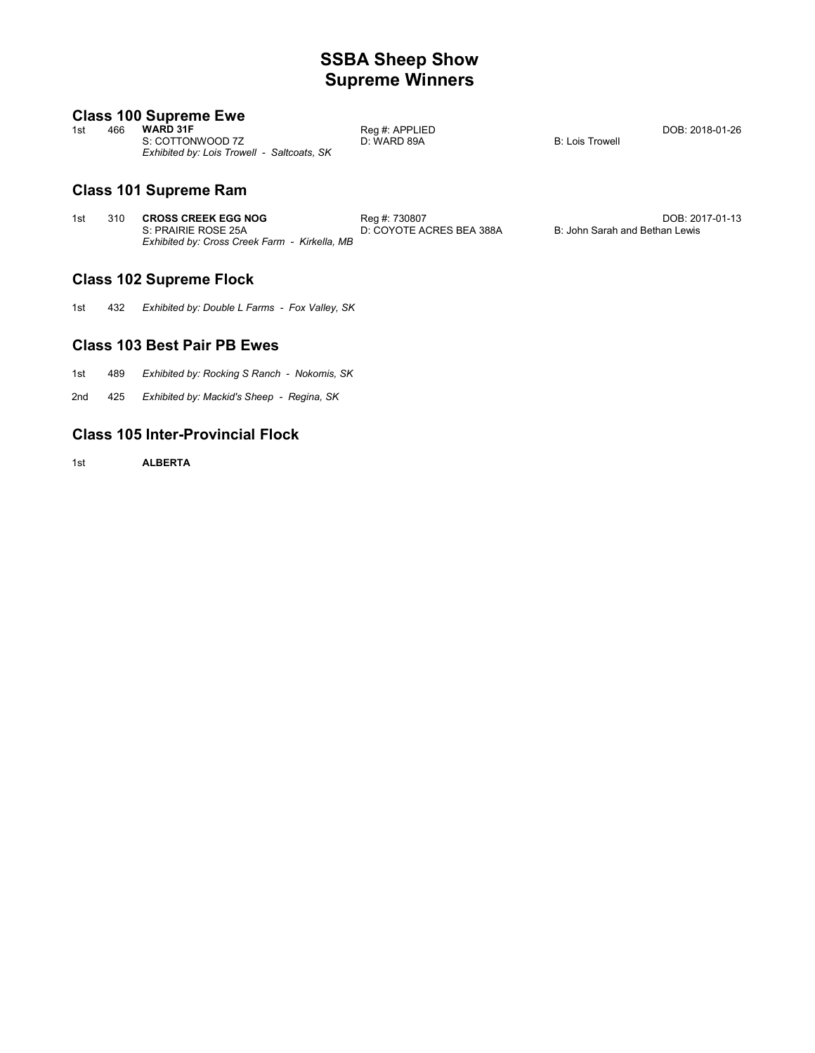# **SSBA Sheep Show Supreme Winners**

DOB: 2018-01-26

B: Lois Trowell

# **Class 100 Supreme Ewe**

| 1st | 466 | <b>WARD 31F</b>                            | Reg #: APPLIED |
|-----|-----|--------------------------------------------|----------------|
|     |     | S: COTTONWOOD 7Z                           | D: WARD 89A    |
|     |     | Exhibited by: Lois Trowell - Saltcoats, SK |                |

# **Class 101 Supreme Ram**

| 1st | 310 CROSS CREEK EGG NOG                       | Reg #: 730807            | DOB: 2017-01-13                |
|-----|-----------------------------------------------|--------------------------|--------------------------------|
|     | S: PRAIRIE ROSE 25A                           | D: COYOTE ACRES BEA 388A | B: John Sarah and Bethan Lewis |
|     | Exhibited by: Cross Creek Farm - Kirkella, MB |                          |                                |

# **Class 102 Supreme Flock**

1st 432 *Exhibited by: Double L Farms - Fox Valley, SK*

# **Class 103 Best Pair PB Ewes**

- 1st 489 *Exhibited by: Rocking S Ranch Nokomis, SK*
- 2nd 425 Exhibited by: Mackid's Sheep - Regina, SK

### **Class 105 Inter-Provincial Flock**

1st **ALBERTA**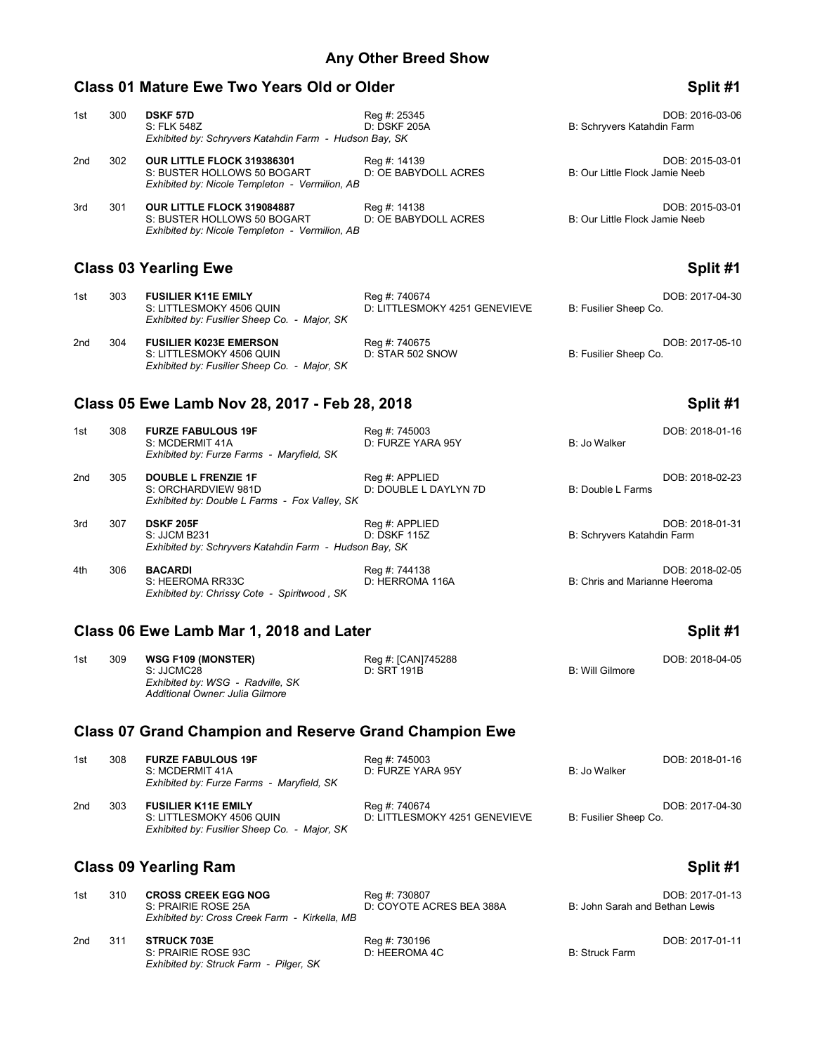### **Class 01 Mature Ewe Two Years Old or Older Split #1** Split #1

### 1st 300 **DSKF 57D Reg #: 25345** Reg #: 25345 **DOB: 2016-03-06** DOB: 2016-03-06<br>1D: DSKF 205A **DEXELL BEEN BEEN BEEN BEEN DES** Schryvers Katahdin Farm B: Schryvers Katahdin Farm *Exhibited by: Schryvers Katahdin Farm - Hudson Bay, SK* 2nd 302 **OUR LITTLE FLOCK 319386301** Reg #: 14139 Reg + 2015-03-01<br>S: BUSTER HOLLOWS 50 BOGART D: OE BABYDOLL ACRES B: Our Little Flock Jamie Neeb S: BUSTER HOLLOWS 50 BOGART *Exhibited by: Nicole Templeton - Vermilion, AB* 3rd 301 **OUR LITTLE FLOCK 319084887** Reg #: 14138 Reg + Reg + 2015-03-01<br>S: BUSTER HOLLOWS 50 BOGART D: OE BABYDOLL ACRES B: Our Little Flock Jamie Neeb D: OE BABYDOLL ACRES

# **Class 03 Yearling Ewe Split #1**

| 1st | 303 | <b>FUSILIER K11E EMILY</b><br>S: LITTLESMOKY 4506 QUIN<br>Exhibited by: Fusilier Sheep Co. - Major, SK | Reg #: 740674<br>D: LITTLESMOKY 4251 GENEVIEVE | DOB: 2017-04-30<br>B: Fusilier Sheep Co. |
|-----|-----|--------------------------------------------------------------------------------------------------------|------------------------------------------------|------------------------------------------|
| 2nd | 304 | <b>FUSILIER K023E EMERSON</b><br>S: LITTLESMOKY 4506 QUIN                                              | Reg #: 740675<br>D: STAR 502 SNOW              | DOB: 2017-05-10<br>B: Fusilier Sheep Co. |

# **Class 05 Ewe Lamb Nov 28, 2017 - Feb 28, 2018 Split #1**

*Exhibited by: Fusilier Sheep Co. - Major, SK*

*Exhibited by: Nicole Templeton - Vermilion, AB*

| 1st | 308 | <b>FURZE FABULOUS 19F</b><br>S: MCDERMIT 41A<br>Exhibited by: Furze Farms - Maryfield, SK          | Reg #: 745003<br>D: FURZE YARA 95Y      | B: Jo Walker                  | DOB: 2018-01-16 |
|-----|-----|----------------------------------------------------------------------------------------------------|-----------------------------------------|-------------------------------|-----------------|
| 2nd | 305 | <b>DOUBLE L FRENZIE 1F</b><br>S: ORCHARDVIEW 981D<br>Exhibited by: Double L Farms - Fox Valley, SK | Reg #: APPLIED<br>D: DOUBLE L DAYLYN 7D | B: Double L Farms             | DOB: 2018-02-23 |
| 3rd | 307 | <b>DSKF 205F</b><br>S: JJCM B231<br>Exhibited by: Schryvers Katahdin Farm - Hudson Bay, SK         | Reg #: APPLIED<br>D: DSKF 115Z          | B: Schryvers Katahdin Farm    | DOB: 2018-01-31 |
| 4th | 306 | <b>BACARDI</b><br>$S$ HEFROMA RR33C                                                                | Reg #: 744138<br>D: HERROMA 116A        | B: Chris and Marianne Heeroma | DOB: 2018-02-05 |

### **Class 06 Ewe Lamb Mar 1, 2018 and Later Split #1 Split #1 Split #1**

*Exhibited by: Chrissy Cote - Spiritwood , SK*

| 1st | 309 | <b>WSG F109 (MONSTER)</b>        | Reg #: [CAN]745288 |                 | DOB: 2018-04-05 |
|-----|-----|----------------------------------|--------------------|-----------------|-----------------|
|     |     | S: JJCMC28                       | D: SRT 191B        | B: Will Gilmore |                 |
|     |     | Exhibited by: WSG - Radville, SK |                    |                 |                 |
|     |     | Additional Owner: Julia Gilmore  |                    |                 |                 |

# **Class 07 Grand Champion and Reserve Grand Champion Ewe**

| 1st             | 308 | <b>FURZE FABULOUS 19F</b><br>S: MCDERMIT 41A<br>Exhibited by: Furze Farms - Maryfield, SK              | Reg #: 745003<br>D: FURZE YARA 95Y             | B: Jo Walker          | DOB: 2018-01-16 |
|-----------------|-----|--------------------------------------------------------------------------------------------------------|------------------------------------------------|-----------------------|-----------------|
| 2 <sub>nd</sub> | 303 | <b>FUSILIER K11E EMILY</b><br>S: LITTLESMOKY 4506 QUIN<br>Exhibited by: Fusilier Sheep Co. - Major, SK | Reg #: 740674<br>D: LITTLESMOKY 4251 GENEVIEVE | B: Fusilier Sheep Co. | DOB: 2017-04-30 |

# **Class 09 Yearling Ram Split #1**

| 1st | 310 | <b>CROSS CREEK EGG NOG</b><br>S: PRAIRIE ROSE 25A<br>Exhibited by: Cross Creek Farm - Kirkella, MB | Reg #: 730807<br>D: COYOTE ACRES BEA 388A | DOB: 2017-01-13<br>B: John Sarah and Bethan Lewis |
|-----|-----|----------------------------------------------------------------------------------------------------|-------------------------------------------|---------------------------------------------------|
| 2nd | 311 | <b>STRUCK 703E</b><br>S: PRAIRIE ROSE 93C<br>Exhibited by: Struck Farm - Pilger, SK                | Reg #: 730196<br>D: HEEROMA 4C            | DOB: 2017-01-11<br><b>B: Struck Farm</b>          |

is and Marianne Heeroma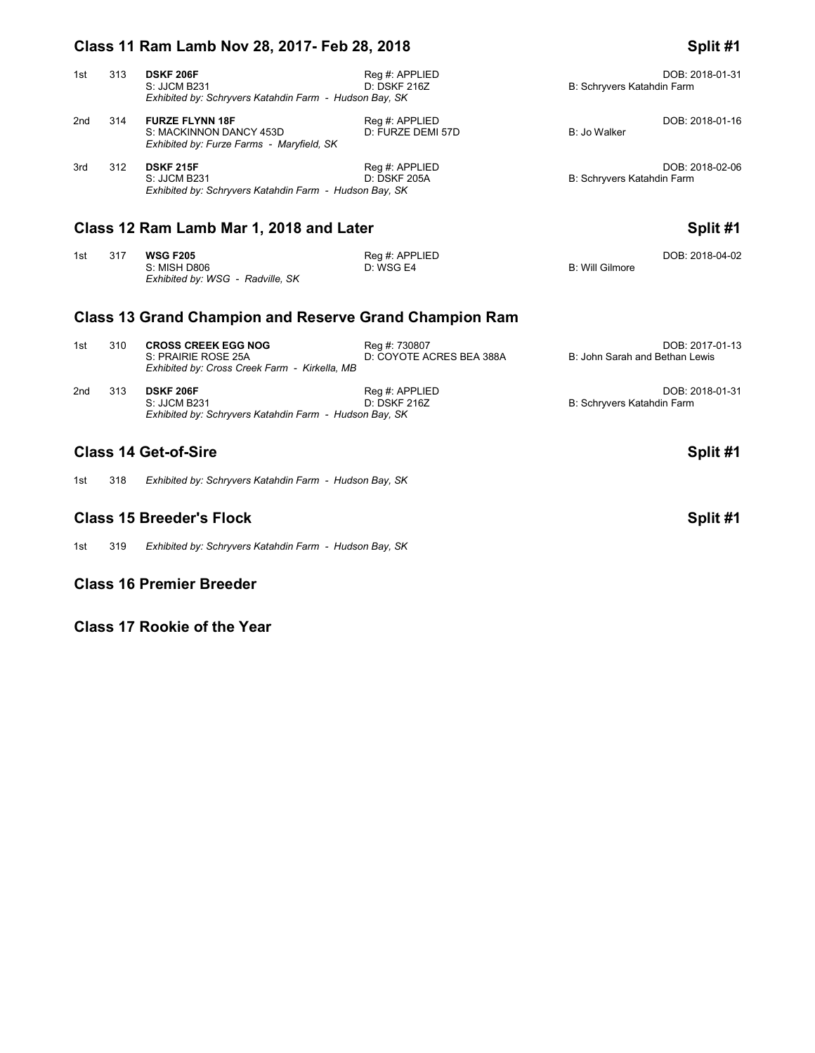| 1st | 313 | <b>DSKF 206F</b><br>S: JJCM B231<br>Exhibited by: Schryvers Katahdin Farm - Hudson Bay, SK     | Reg #: APPLIED<br>D:DSKF 216Z       | B: Schryvers Katahdin Farm | DOB: 2018-01-31 |
|-----|-----|------------------------------------------------------------------------------------------------|-------------------------------------|----------------------------|-----------------|
| 2nd | 314 | <b>FURZE FLYNN 18F</b><br>S: MACKINNON DANCY 453D<br>Exhibited by: Furze Farms - Maryfield, SK | Reg #: APPLIED<br>D: FURZE DEMI 57D | B: Jo Walker               | DOB: 2018-01-16 |
| 3rd | 312 | <b>DSKF 215F</b><br>S: JJCM B231<br>Exhibited by: Schryvers Katahdin Farm - Hudson Bay, SK     | Reg #: APPLIED<br>D: DSKF 205A      | B: Schryvers Katahdin Farm | DOB: 2018-02-06 |

# Class 12 Ram Lamb Mar 1, 2018 and Later **Split #1** Split #1

| 1st | 317 | <b>WSG F205</b>                  | Reg #: APPLIED |                 | DOB: 2018-04-02 |
|-----|-----|----------------------------------|----------------|-----------------|-----------------|
|     |     | S: MISH D806                     | D: WSGE4       | B: Will Gilmore |                 |
|     |     | Exhibited by: WSG - Radville, SK |                |                 |                 |

# **Class 13 Grand Champion and Reserve Grand Champion Ram**

| 1st | 310 | <b>CROSS CREEK EGG NOG</b><br>S: PRAIRIE ROSE 25A<br>Exhibited by: Cross Creek Farm - Kirkella, MB | Reg #: 730807<br>D: COYOTE ACRES BEA 388A | DOB: 2017-01-13<br>B: John Sarah and Bethan Lewis |
|-----|-----|----------------------------------------------------------------------------------------------------|-------------------------------------------|---------------------------------------------------|
| 2nd | 313 | <b>DSKF 206F</b><br>S: JJCM B231<br>Exhibited by: Schryvers Katahdin Farm - Hudson Bay, SK         | Reg #: APPLIED<br>D: DSKF 216Z            | DOB: 2018-01-31<br>B: Schryvers Katahdin Farm     |

# **Class 14 Get-of-Sire Split #1**

1st 318 *Exhibited by: Schryvers Katahdin Farm - Hudson Bay, SK*

# **Class 15 Breeder's Flock Split #1**

1st 319 *Exhibited by: Schryvers Katahdin Farm - Hudson Bay, SK*

### **Class 16 Premier Breeder**

**Class 17 Rookie of the Year**

# **Class 11 Ram Lamb Nov 28, 2017- Feb 28, 2018 Split #1**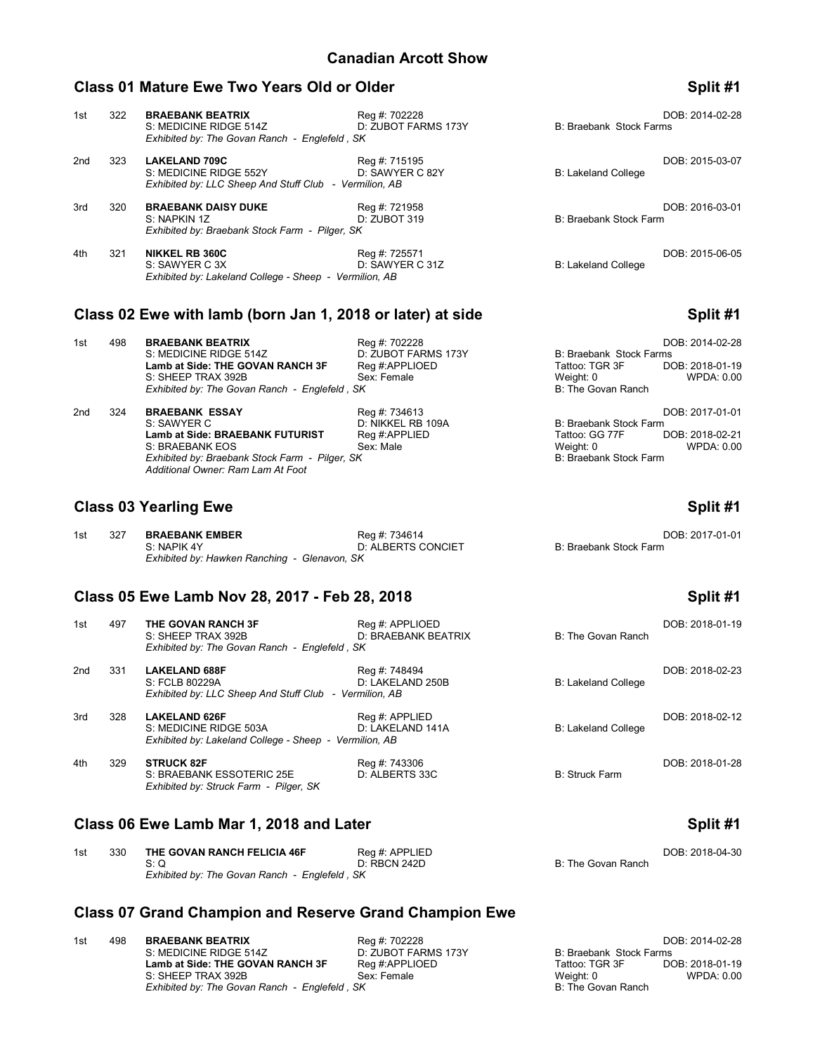### **Class 01 Mature Ewe Two Years Old or Older <b>Split #1** Split #1

### 1st 322 **BRAEBANK BEATRIX** Reg #: 702228 **BRAEBANK BEATRIX** Reg #: 702228 DOB: 2014-02-28<br>S: MEDICINE RIDGE 514Z D: ZUBOT FARMS 173Y B: Braebank Stock Farms S: MEDICINE RIDGE 514Z *Exhibited by: The Govan Ranch - Englefeld , SK* 2nd 323 **LAKELAND 709C** Reg #: 715195 DOB: 2015-03-07 S: MEDICINE RIDGE 552Y *Exhibited by: LLC Sheep And Stuff Club - Vermilion, AB* 3rd 320 **BRAEBANK DAISY DUKE** Reg #: 721958 Reg = Reg = 2016-03-01<br>S: NAPKIN 1Z **D**: ZUBOT 319 D: 2016 D: 2016 Reg = 2016 D: 2016 B: Braebank Stock Farm B: Braebank Stock Farm *Exhibited by: Braebank Stock Farm - Pilger, SK* 4th 321 **NIKKEL RB 360C** Reg #: 725571 Reg = Reg = Reg = Reg = Reg = Reg = Reg = Reg = Reg = Reg = Reg = Reg = Reg = Reg = Reg = Reg = Reg = Reg = Reg = Reg = Reg = Reg = Reg = Reg = Reg = Reg = Reg = Reg = Reg = Reg = Reg S: SAWYER C 3X D: SAWYER C 31Z B: Lakeland College *Exhibited by: Lakeland College - Sheep - Vermilion, AB*

# **Class 02 Ewe with lamb (born Jan 1, 2018 or later) at side <b>Split #1** Split #1

| 1st | 498 | <b>BRAEBANK BEATRIX</b><br>S: MEDICINE RIDGE 514Z<br>Lamb at Side: THE GOVAN RANCH 3F<br>S: SHEEP TRAX 392B<br>Exhibited by: The Govan Ranch - Englefeld, SK | Reg #: 702228<br>D: ZUBOT FARMS 173Y<br>Reg #:APPLIOED<br>Sex: Female | B: Braebank Stock Farms<br>Tattoo: TGR 3F<br>Weight: 0<br>B: The Govan Ranch    | DOB: 2014-02-28<br>DOB: 2018-01-19<br>WPDA: 0.00 |
|-----|-----|--------------------------------------------------------------------------------------------------------------------------------------------------------------|-----------------------------------------------------------------------|---------------------------------------------------------------------------------|--------------------------------------------------|
| 2nd | 324 | <b>BRAEBANK ESSAY</b><br>S: SAWYER C<br><b>Lamb at Side: BRAEBANK FUTURIST</b><br>S: BRAEBANK EOS<br>Exhibited by: Braebank Stock Farm - Pilger, SK          | Reg #: 734613<br>D: NIKKEL RB 109A<br>Reg #:APPLIED<br>Sex: Male      | B: Braebank Stock Farm<br>Tattoo: GG 77F<br>Weight: 0<br>B: Braebank Stock Farm | DOB: 2017-01-01<br>DOB: 2018-02-21<br>WPDA: 0.00 |

# **Class 03 Yearling Ewe Split #1**

| 1st | 327 | <b>BRAEBANK EMBER</b>                        | Reg #: 734614      | DOB: 2017-01-01        |
|-----|-----|----------------------------------------------|--------------------|------------------------|
|     |     | S: NAPIK 4Y                                  | D: ALBERTS CONCIET | B: Braebank Stock Farm |
|     |     | Exhibited by: Hawken Ranching - Glenavon, SK |                    |                        |

### **Class 05 Ewe Lamb Nov 28, 2017 - Feb 28, 2018 Split #1**

*Additional Owner: Ram Lam At Foot*

| 1st | 497 | THE GOVAN RANCH 3F                                                  | Reg #: APPLIOED     |                       | DOB: 2018-01-19 |
|-----|-----|---------------------------------------------------------------------|---------------------|-----------------------|-----------------|
|     |     | S: SHEEP TRAX 392B<br>Exhibited by: The Govan Ranch - Englefeld, SK | D: BRAEBANK BEATRIX | B: The Govan Ranch    |                 |
| 2nd | 331 | <b>LAKELAND 688F</b>                                                | Reg #: 748494       |                       | DOB: 2018-02-23 |
|     |     | S: FCLB 80229A                                                      | D: LAKELAND 250B    | B: Lakeland College   |                 |
|     |     | Exhibited by: LLC Sheep And Stuff Club - Vermilion, AB              |                     |                       |                 |
| 3rd | 328 | <b>LAKELAND 626F</b>                                                | Reg #: APPLIED      |                       | DOB: 2018-02-12 |
|     |     | S: MEDICINE RIDGE 503A                                              | D: LAKELAND 141A    | B: Lakeland College   |                 |
|     |     | Exhibited by: Lakeland College - Sheep - Vermilion, AB              |                     |                       |                 |
| 4th | 329 | <b>STRUCK 82F</b>                                                   | Reg #: 743306       |                       | DOB: 2018-01-28 |
|     |     | S: BRAEBANK ESSOTERIC 25E                                           | D: ALBERTS 33C      | <b>B: Struck Farm</b> |                 |
|     |     | Exhibited by: Struck Farm - Pilger, SK                              |                     |                       |                 |

### **Class 06 Ewe Lamb Mar 1, 2018 and Later Split #1**

| 1st | 330 | THE GOVAN RANCH FELICIA 46F                   | Reg #: APPLIED |                    | DOB: 2018-04-30 |
|-----|-----|-----------------------------------------------|----------------|--------------------|-----------------|
|     |     |                                               | D: RBCN 242D   | B: The Govan Ranch |                 |
|     |     | Exhibited by: The Govan Ranch - Englefeld, SK |                |                    |                 |

# **Class 07 Grand Champion and Reserve Grand Champion Ewe**

1st 498 **BRAEBANK BEATRIX** Reg #: 702228 **BRAEBANK BEATRIX** Reg #: 702228 DOB: 2014-02-28<br>S: MEDICINE RIDGE 514Z D: ZUBOT FARMS 173Y B: Braebank Stock Farms S: MEDICINE RIDGE 514Z D: ZUBOT FARMS 173Y B: Braebank Stock Farms **Lamb at Side: THE GOVAN RANCH 3F** Reg #:APPLIOED Tattoo: TGR 3F DOB: 2018-01-19<br>S: SHEEP TRAX 392B Sex: Female Sexternal Sexternal Regint: 0 Weight: 0 WPDA: 0.00 S: SHEEP TRAX 392B Sex: Female Sexillar and the USS SHEEP TRAX 392B<br>
Exhibited by: The Govan Ranch - Englefeld, SK *Exhibited by: The Govan Ranch - Englefeld, SK*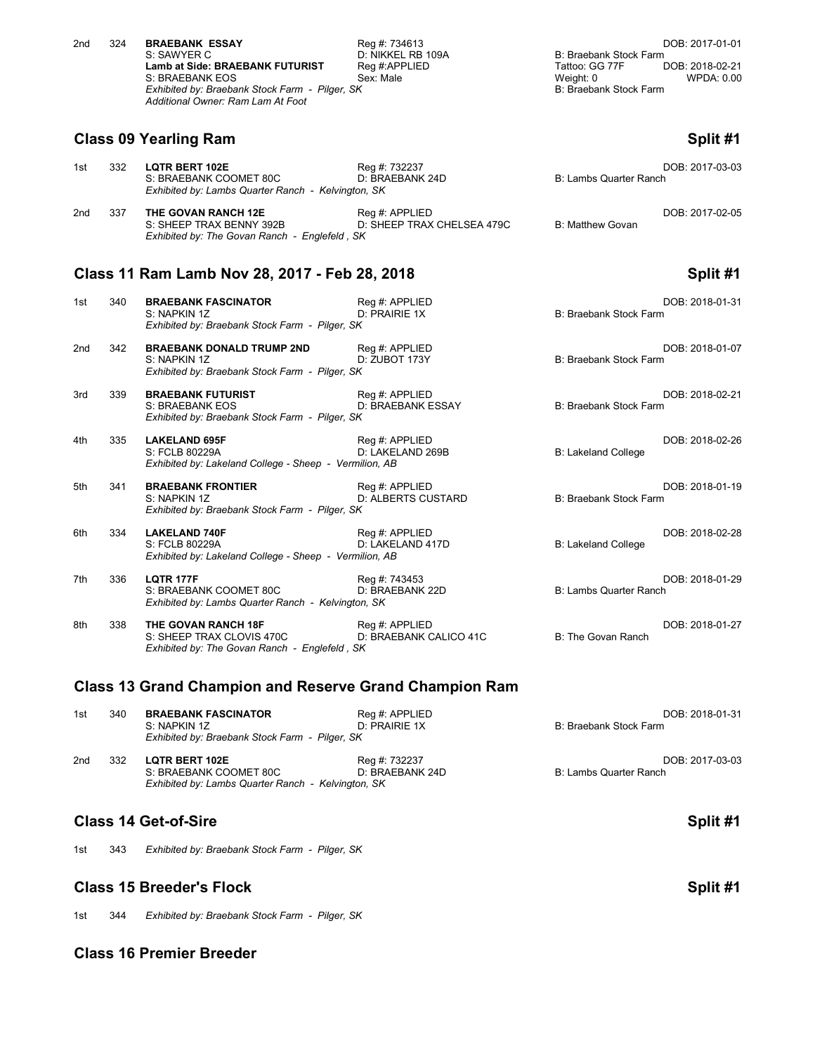| 2nd | 324 | <b>BRAEBANK ESSAY</b>                          | Reg #: 734613     |                        | DOB: 2017-01-01        |  |
|-----|-----|------------------------------------------------|-------------------|------------------------|------------------------|--|
|     |     | S: SAWYER C                                    | D: NIKKEL RB 109A | B: Braebank Stock Farm |                        |  |
|     |     | Lamb at Side: BRAEBANK FUTURIST                | Reg #:APPLIED     | Tattoo: GG 77F         | DOB: 2018-02-21        |  |
|     |     | S: BRAEBANK EOS                                | Sex: Male         | Weight: 0              | WPDA: 0.00             |  |
|     |     | Exhibited by: Braebank Stock Farm - Pilger, SK |                   |                        | B: Braebank Stock Farm |  |
|     |     | Additional Owner: Ram Lam At Foot              |                   |                        |                        |  |

### **Class 09 Yearling Ram Split #1**

| 1st | 332 | <b>LQTR BERT 102E</b><br>S: BRAEBANK COOMET 80C                                                                                                        | Reg #: 732237<br>D: BRAEBANK 24D             | B: Lambs Quarter Ranch | DOB: 2017-03-03 |
|-----|-----|--------------------------------------------------------------------------------------------------------------------------------------------------------|----------------------------------------------|------------------------|-----------------|
| 2nd | 337 | Exhibited by: Lambs Quarter Ranch - Kelvington, SK<br>THE GOVAN RANCH 12E<br>S: SHEEP TRAX BENNY 392B<br>Exhibited by: The Govan Ranch - Englefeld, SK | Reg #: APPLIED<br>D: SHEEP TRAX CHELSEA 479C | B: Matthew Govan       | DOB: 2017-02-05 |

# **Class 11 Ram Lamb Nov 28, 2017 - Feb 28, 2018 Split #1**

| 1st | 340 | <b>BRAEBANK FASCINATOR</b><br>S: NAPKIN 1Z<br>Exhibited by: Braebank Stock Farm - Pilger, SK       | Reg #: APPLIED<br>D: PRAIRIE 1X          | B: Braebank Stock Farm        | DOB: 2018-01-31 |
|-----|-----|----------------------------------------------------------------------------------------------------|------------------------------------------|-------------------------------|-----------------|
| 2nd | 342 | <b>BRAEBANK DONALD TRUMP 2ND</b><br>S: NAPKIN 1Z<br>Exhibited by: Braebank Stock Farm - Pilger, SK | Reg #: APPLIED<br>D: ZUBOT 173Y          | <b>B: Braebank Stock Farm</b> | DOB: 2018-01-07 |
| 3rd | 339 | <b>BRAEBANK FUTURIST</b><br>S: BRAEBANK EOS<br>Exhibited by: Braebank Stock Farm - Pilger, SK      | Req #: APPLIED<br>D: BRAEBANK ESSAY      | B: Braebank Stock Farm        | DOB: 2018-02-21 |
| 4th | 335 | <b>LAKELAND 695F</b><br>S: FCLB 80229A<br>Exhibited by: Lakeland College - Sheep - Vermilion, AB   | Reg #: APPLIED<br>D: LAKELAND 269B       | <b>B: Lakeland College</b>    | DOB: 2018-02-26 |
| 5th | 341 | <b>BRAEBANK FRONTIER</b><br>S: NAPKIN 1Z<br>Exhibited by: Braebank Stock Farm - Pilger, SK         | Reg #: APPLIED<br>D: ALBERTS CUSTARD     | <b>B: Braebank Stock Farm</b> | DOB: 2018-01-19 |
| 6th | 334 | <b>LAKELAND 740F</b><br>S: FCLB 80229A<br>Exhibited by: Lakeland College - Sheep - Vermilion, AB   | Reg #: APPLIED<br>D: LAKELAND 417D       | <b>B: Lakeland College</b>    | DOB: 2018-02-28 |
| 7th | 336 | <b>LOTR 177F</b><br>S: BRAEBANK COOMET 80C<br>Exhibited by: Lambs Quarter Ranch - Kelvington, SK   | Reg #: 743453<br>D: BRAEBANK 22D         | <b>B: Lambs Quarter Ranch</b> | DOB: 2018-01-29 |
| 8th | 338 | THE GOVAN RANCH 18F<br>S: SHEEP TRAX CLOVIS 470C<br>Exhibited by: The Govan Ranch - Englefeld, SK  | Reg #: APPLIED<br>D: BRAEBANK CALICO 41C | B: The Govan Ranch            | DOB: 2018-01-27 |

### **Class 13 Grand Champion and Reserve Grand Champion Ram**

| 1st | 340 | <b>BRAEBANK FASCINATOR</b><br>S: NAPKIN 1Z<br>Exhibited by: Braebank Stock Farm - Pilger, SK          | Reg #: APPLIED<br>D: PRAIRIE 1X  | DOB: 2018-01-31<br>B: Braebank Stock Farm |
|-----|-----|-------------------------------------------------------------------------------------------------------|----------------------------------|-------------------------------------------|
| 2nd | 332 | <b>LQTR BERT 102E</b><br>S: BRAEBANK COOMET 80C<br>Exhibited by: Lambs Quarter Ranch - Kelvington, SK | Reg #: 732237<br>D: BRAEBANK 24D | DOB: 2017-03-03<br>B: Lambs Quarter Ranch |

# **Class 14 Get-of-Sire Split #1**

1st 343 *Exhibited by: Braebank Stock Farm - Pilger, SK*

# **Class 15 Breeder's Flock Split #1**

1st 344 *Exhibited by: Braebank Stock Farm - Pilger, SK*

# **Class 16 Premier Breeder**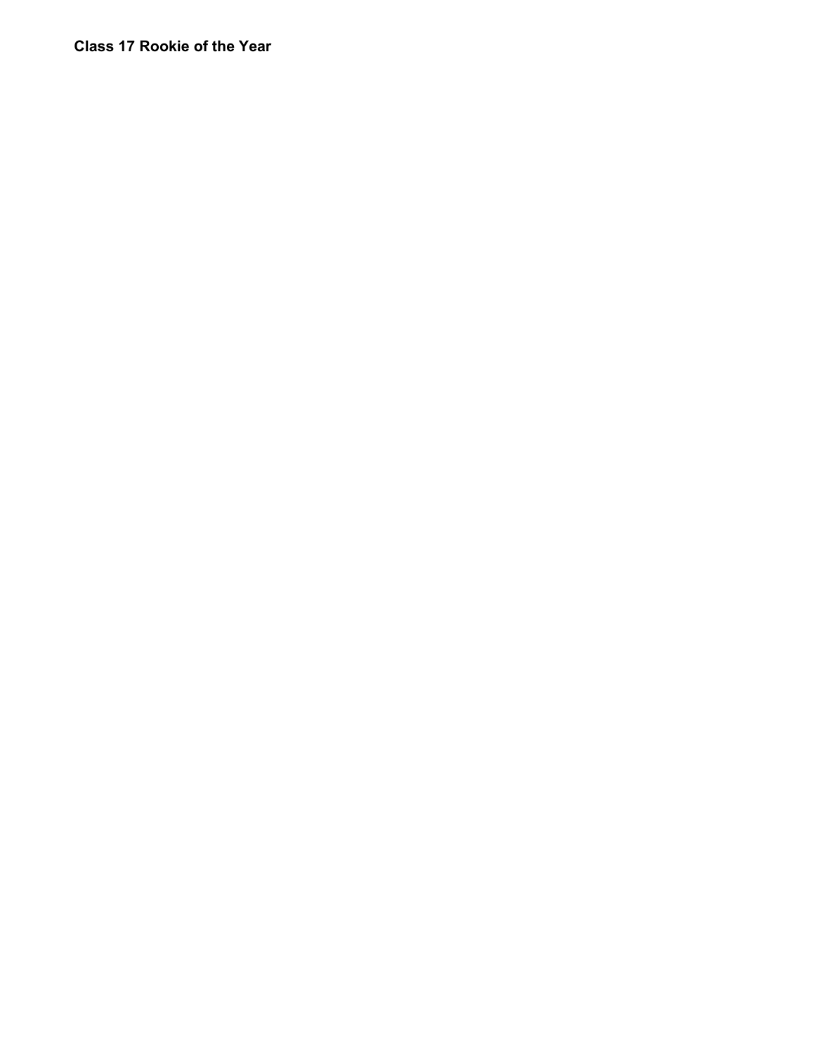# **Class 17 Rookie of the Year**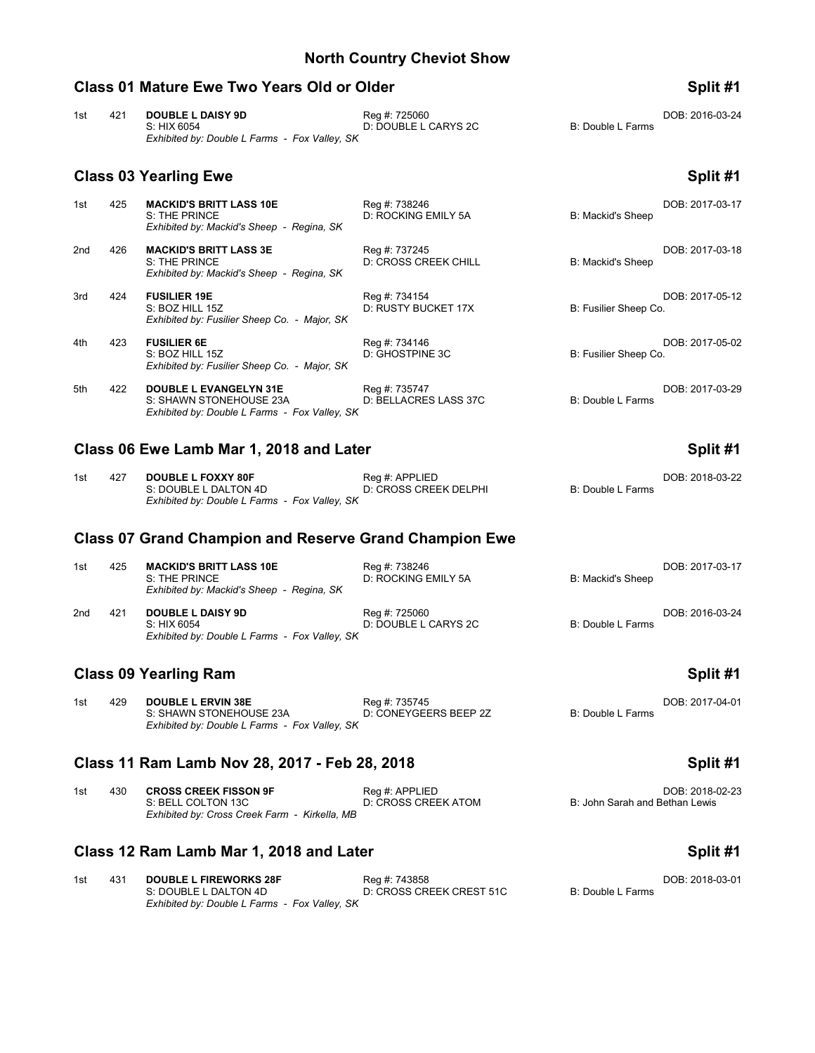### **Class 01 Mature Ewe Two Years Old or Older Split #1** Split #1

| 1st | 421 | <b>DOUBLE L DAISY 9D</b>                      | Reg #: 725060        |                   | DOB: 2016-03-24 |
|-----|-----|-----------------------------------------------|----------------------|-------------------|-----------------|
|     |     | S: HIX 6054                                   | D: DOUBLE L CARYS 2C | B: Double L Farms |                 |
|     |     | Exhibited by: Double L Farms - Fox Valley, SK |                      |                   |                 |

### **Class 03 Yearling Ewe Split #1**

### 1st 425 **MACKID'S BRITT LASS 10E** Reg #: 738246 **Reg 4: 738246** DOB: 2017-03-17<br>S: THE PRINCE **DELLENT CODE DELLE DES** DE ROCKING EMILY 5A B: Mackid's Sheep D: ROCKING EMILY 5A *Exhibited by: Mackid's Sheep - Regina, SK* 2nd 426 **MACKID'S BRITT LASS 3E** Reg #: 737245 **Reg also a Constant Constant Constant Constant Constant Constant** D: CROSS CREEK CHILL **B: Mackid's Sheep** D: THE PRINCE D: CROSS CREEK CHILL *Exhibited by: Mackid's Sheep - Regina, SK* 3rd 424 **FUSILIER 19E Reg #: 734154 Reg 1: 734154 DOB: 2017-05-12 DIE: BOZ HILL 152 DIE: RUSTY BUCKET 17X DIE: Fusilier Sheep Co.** D: RUSTY BUCKET 17X *Exhibited by: Fusilier Sheep Co. - Major, SK* 4th 423 **FUSILIER 6E** Reg #: 734146 DOB: 2017-05-02 S: BOZ HILL 15Z D: GHOSTPINE 3C B: Fusilier Sheep Co. *Exhibited by: Fusilier Sheep Co. - Major, SK* 5th 422 **DOUBLE L EVANGELYN 31E** Reg #: 735747 Reg + Reg + 2017-03-29<br>S: SHAWN STONEHOUSE 23A D: BELLACRES LASS 37C B: Double L Farms S: SHAWN STONEHOUSE 23A *Exhibited by: Double L Farms - Fox Valley, SK*

# Class 06 Ewe Lamb Mar 1, 2018 and Later **Split #1** Split #1

| 1st | 427 | <b>DOUBLE L FOXXY 80F</b>                     | Reg #: APPLIED        |                   | DOB: 2018-03-22 |
|-----|-----|-----------------------------------------------|-----------------------|-------------------|-----------------|
|     |     | S: DOUBLE L DALTON 4D                         | D: CROSS CREEK DELPHI | B: Double L Farms |                 |
|     |     | Exhibited by: Double L Farms - Fox Valley, SK |                       |                   |                 |

# **Class 07 Grand Champion and Reserve Grand Champion Ewe**

| 1st | 425 | <b>MACKID'S BRITT LASS 10E</b><br>S: THE PRINCE<br>Exhibited by: Mackid's Sheep - Regina, SK | Reg #: 738246<br>D: ROCKING EMILY 5A  | B: Mackid's Sheep | DOB: 2017-03-17 |
|-----|-----|----------------------------------------------------------------------------------------------|---------------------------------------|-------------------|-----------------|
| 2nd | 421 | <b>DOUBLE L DAISY 9D</b><br>S: HIX 6054<br>Exhibited by: Double L Farms - Fox Valley, SK     | Reg #: 725060<br>D: DOUBLE L CARYS 2C | B: Double L Farms | DOB: 2016-03-24 |

# **Class 09 Yearling Ram Split #1**

1st 429 **DOUBLE L ERVIN 38E** Reg #: 735745 Reg + 735745 **DOB: 2017-04-01** DOB: 2017-04-01<br>S: SHAWN STONEHOUSE 23A D: CONEYGEERS BEEP 2Z B: Double L Farms D: CONEYGEERS BEEP 2Z *Exhibited by: Double L Farms - Fox Valley, SK*

# **Class 11 Ram Lamb Nov 28, 2017 - Feb 28, 2018 Split #1**

| 1st | 430 | <b>CROSS CREEK FISSON 9F</b>                  | Reg #: APPLIED      | DOB: 2018-02-23                |
|-----|-----|-----------------------------------------------|---------------------|--------------------------------|
|     |     | S: BELL COLTON 13C                            | D: CROSS CREEK ATOM | B: John Sarah and Bethan Lewis |
|     |     | Exhibited by: Cross Creek Farm - Kirkella. MB |                     |                                |

# **Class 12 Ram Lamb Mar 1, 2018 and Later Split #1 Split #1 Split #1**

| 1st | 431 | <b>DOUBLE L FIREWORKS 28F</b>                 | Rea #: 743858            | DOB: 2018-03-01   |
|-----|-----|-----------------------------------------------|--------------------------|-------------------|
|     |     | S: DOUBLE L DALTON 4D                         | D: CROSS CREEK CREST 51C | B: Double L Farms |
|     |     | Exhibited by: Double L Farms - Fox Valley, SK |                          |                   |

|  | :nlif | #1 |
|--|-------|----|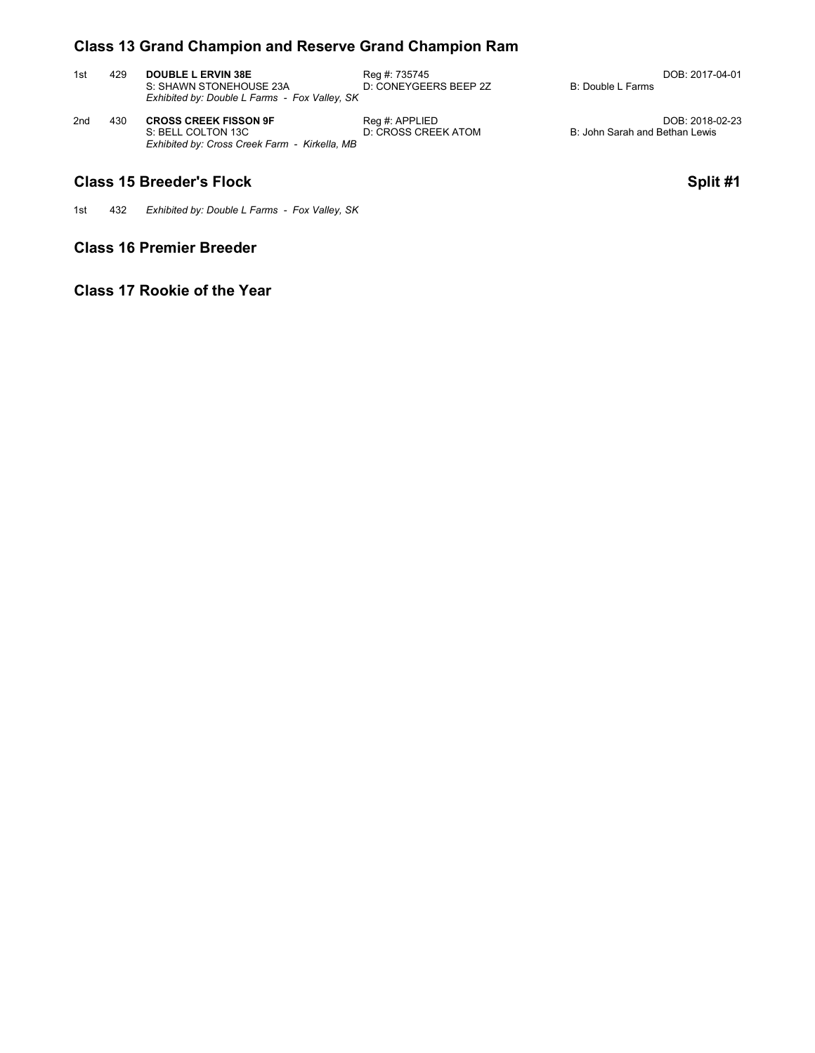# **Class 13 Grand Champion and Reserve Grand Champion Ram**

| 1st | 429 | <b>DOUBLE L ERVIN 38E</b><br>S: SHAWN STONEHOUSE 23A<br>Exhibited by: Double L Farms - Fox Valley, SK | Rea #: 735745<br>D: CONEYGEERS BEEP 2Z | B: Double L Farms | DOB: 2017-04-01 |
|-----|-----|-------------------------------------------------------------------------------------------------------|----------------------------------------|-------------------|-----------------|
|     |     |                                                                                                       |                                        |                   |                 |

2nd 430 **2018-02-23 CROSS CREEK FISSON 9F** Reg #: APPLIED DOB: 2018-02-23<br>23 B: John Sarah and Bethan Lewis D: CROSS CREEK ATOM B: John Sarah and Bethan Lewis *Exhibited by: Cross Creek Farm - Kirkella, MB*

# **Class 15 Breeder's Flock Split #1**

1st 432 *Exhibited by: Double L Farms - Fox Valley, SK*

# **Class 16 Premier Breeder**

# **Class 17 Rookie of the Year**

B: John Sarah and Bethan Lewis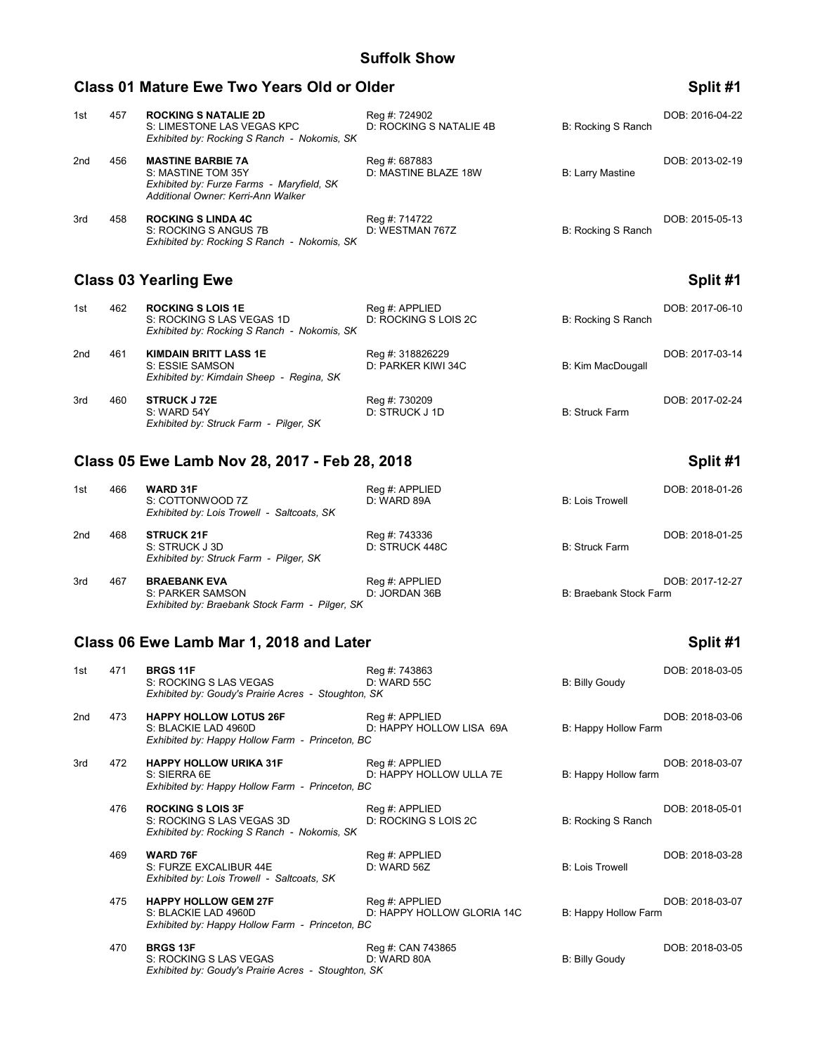### **Class 01 Mature Ewe Two Years Old or Older Split #1** Split #1

### 1st 457 **ROCKING S NATALIE 2D** Reg #: 724902<br>S: LIMESTONE LAS VEGAS KPC D: ROCKING S NATALIE 4B B: Rocking S Ranch S: LIMESTONE LAS VEGAS KPC *Exhibited by: Rocking S Ranch - Nokomis, SK* 2nd 456 **MASTINE BARBIE 7A** Reg #: 687883 Reg = 813-02-19<br>S: MASTINE TOM 35Y D: MASTINE BLAZE 18W B: Larry Mastine D: MASTINE BLAZE 18W *Exhibited by: Furze Farms - Maryfield, SK Additional Owner: Kerri-Ann Walker* 3rd 458 **ROCKING S LINDA 4C** Reg #: 714722 Reg = Reg Heather 2015-05-13<br>S: ROCKING S ANGUS 7B D: WESTMAN 767Z B: Rocking S Ranch S: ROCKING S ANGUS 7B *Exhibited by: Rocking S Ranch - Nokomis, SK*

# **Class 03 Yearling Ewe Split #1**

| 1st | 462 | <b>ROCKING S LOIS 1E</b><br>S: ROCKING S LAS VEGAS 1D<br>Exhibited by: Rocking S Ranch - Nokomis, SK | Reg #: APPLIED<br>D: ROCKING S LOIS 2C | B: Rocking S Ranch | DOB: 2017-06-10 |
|-----|-----|------------------------------------------------------------------------------------------------------|----------------------------------------|--------------------|-----------------|
| 2nd | 461 | <b>KIMDAIN BRITT LASS 1E</b><br>S: ESSIE SAMSON<br>Exhibited by: Kimdain Sheep - Regina, SK          | Reg #: 318826229<br>D: PARKER KIWI 34C | B: Kim MacDougall  | DOB: 2017-03-14 |
| 3rd | 460 | <b>STRUCK J 72E</b><br>S: WARD 54Y<br>Exhibited by: Struck Farm - Pilger, SK                         | Reg #: 730209<br>D: STRUCK J 1D        | B: Struck Farm     | DOB: 2017-02-24 |

# **Class 05 Ewe Lamb Nov 28, 2017 - Feb 28, 2018 Split #1**

| 1st | 466 | <b>WARD 31F</b><br>S: COTTONWOOD 7Z<br>Exhibited by: Lois Trowell - Saltcoats, SK | Reg #: APPLIED<br>D: WARD 89A   | <b>B: Lois Trowell</b> | DOB: 2018-01-26 |
|-----|-----|-----------------------------------------------------------------------------------|---------------------------------|------------------------|-----------------|
| 2nd | 468 | <b>STRUCK 21F</b><br>S: STRUCK J 3D<br>Exhibited by: Struck Farm - Pilger, SK     | Reg #: 743336<br>D: STRUCK 448C | <b>B: Struck Farm</b>  | DOB: 2018-01-25 |

| 3rd | 467 | <b>BRAEBANK EVA</b>                            | Reg #: APPLIED | DOB: 2017-12-27        |
|-----|-----|------------------------------------------------|----------------|------------------------|
|     |     | S: PARKER SAMSON                               | D: JORDAN 36B  | B: Braebank Stock Farm |
|     |     | Exhibited by: Braebank Stock Farm - Pilger, SK |                |                        |

# Class 06 Ewe Lamb Mar 1, 2018 and Later **Split #1** Split #1

| 1st | 471 | <b>BRGS 11F</b><br>S: ROCKING S LAS VEGAS<br>Exhibited by: Goudy's Prairie Acres - Stoughton, SK         | Reg #: 743863<br>D: WARD 55C                 | <b>B: Billy Goudy</b>  | DOB: 2018-03-05 |
|-----|-----|----------------------------------------------------------------------------------------------------------|----------------------------------------------|------------------------|-----------------|
| 2nd | 473 | <b>HAPPY HOLLOW LOTUS 26F</b><br>S: BLACKIE LAD 4960D<br>Exhibited by: Happy Hollow Farm - Princeton, BC | Reg #: APPLIED<br>D: HAPPY HOLLOW LISA 69A   | B: Happy Hollow Farm   | DOB: 2018-03-06 |
| 3rd | 472 | <b>HAPPY HOLLOW URIKA 31F</b><br>S: SIERRA 6E<br>Exhibited by: Happy Hollow Farm - Princeton, BC         | Reg #: APPLIED<br>D: HAPPY HOLLOW ULLA 7E    | B: Happy Hollow farm   | DOB: 2018-03-07 |
|     | 476 | <b>ROCKING S LOIS 3F</b><br>S: ROCKING S LAS VEGAS 3D<br>Exhibited by: Rocking S Ranch - Nokomis, SK     | Reg #: APPLIED<br>D: ROCKING S LOIS 2C       | B: Rocking S Ranch     | DOB: 2018-05-01 |
|     | 469 | <b>WARD 76F</b><br>S: FURZE EXCALIBUR 44E<br>Exhibited by: Lois Trowell - Saltcoats, SK                  | Reg #: APPLIED<br>D: WARD 56Z                | <b>B: Lois Trowell</b> | DOB: 2018-03-28 |
|     | 475 | <b>HAPPY HOLLOW GEM 27F</b><br>S: BLACKIE LAD 4960D<br>Exhibited by: Happy Hollow Farm - Princeton, BC   | Reg #: APPLIED<br>D: HAPPY HOLLOW GLORIA 14C | B: Happy Hollow Farm   | DOB: 2018-03-07 |
|     | 470 | <b>BRGS 13F</b><br>S: ROCKING S LAS VEGAS<br>Exhibited by: Goudy's Prairie Acres - Stoughton, SK         | Reg #: CAN 743865<br>D: WARD 80A             | <b>B: Billy Goudy</b>  | DOB: 2018-03-05 |